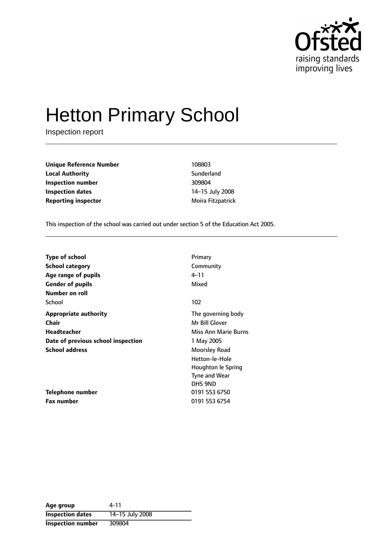

# Hetton Primary School

Inspection report

**Unique Reference Number** 108803 **Local Authority Contract Sunderland Inspection number** 309804 **Inspection dates** 14-15 July 2008 **Reporting inspector** Moira Fitzpatrick

This inspection of the school was carried out under section 5 of the Education Act 2005.

| <b>Type of school</b>              | Primary              |
|------------------------------------|----------------------|
| <b>School category</b>             | Community            |
| Age range of pupils                | 4–11                 |
| <b>Gender of pupils</b>            | Mixed                |
| Number on roll                     |                      |
| School                             | 102                  |
| <b>Appropriate authority</b>       | The governing body   |
| <b>Chair</b>                       | Mr Bill Glover       |
| Headteacher                        | Miss Ann Marie Burns |
| Date of previous school inspection | 1 May 2005           |
| <b>School address</b>              | Moorsley Road        |
|                                    | Hetton-le-Hole       |
|                                    | Houghton le Spring   |
|                                    | <b>Tyne and Wear</b> |
|                                    | DH5 9ND              |
| <b>Telephone number</b>            | 0191 553 6750        |
| Fax number                         | 0191 553 6754        |

| Age group                | 4-11            |
|--------------------------|-----------------|
| <b>Inspection dates</b>  | 14-15 July 2008 |
| <b>Inspection number</b> | 309804          |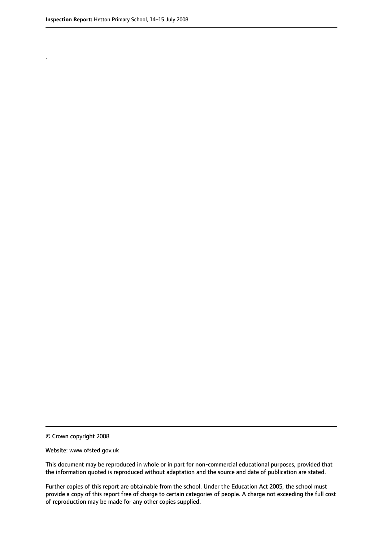.

© Crown copyright 2008

#### Website: www.ofsted.gov.uk

This document may be reproduced in whole or in part for non-commercial educational purposes, provided that the information quoted is reproduced without adaptation and the source and date of publication are stated.

Further copies of this report are obtainable from the school. Under the Education Act 2005, the school must provide a copy of this report free of charge to certain categories of people. A charge not exceeding the full cost of reproduction may be made for any other copies supplied.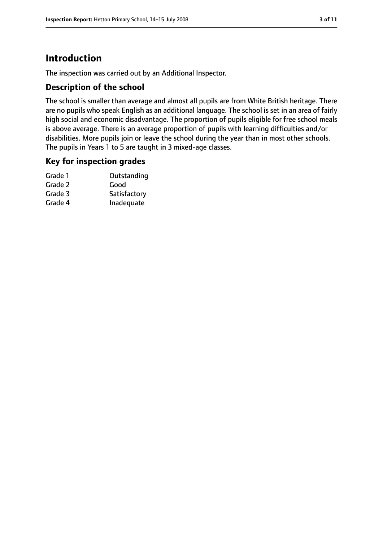### **Introduction**

The inspection was carried out by an Additional Inspector.

### **Description of the school**

The school is smaller than average and almost all pupils are from White British heritage. There are no pupils who speak English as an additional language. The school is set in an area of fairly high social and economic disadvantage. The proportion of pupils eligible for free school meals is above average. There is an average proportion of pupils with learning difficulties and/or disabilities. More pupils join or leave the school during the year than in most other schools. The pupils in Years 1 to 5 are taught in 3 mixed-age classes.

#### **Key for inspection grades**

| Grade 1 | Outstanding  |
|---------|--------------|
| Grade 2 | Good         |
| Grade 3 | Satisfactory |
| Grade 4 | Inadequate   |
|         |              |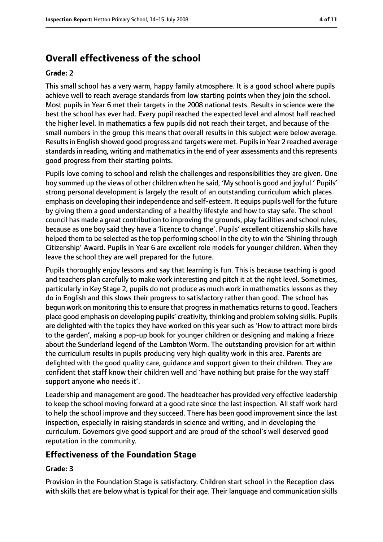### **Overall effectiveness of the school**

#### **Grade: 2**

This small school has a very warm, happy family atmosphere. It is a good school where pupils achieve well to reach average standards from low starting points when they join the school. Most pupils in Year 6 met their targets in the 2008 national tests. Results in science were the best the school has ever had. Every pupil reached the expected level and almost half reached the higher level. In mathematics a few pupils did not reach their target, and because of the small numbers in the group this means that overall results in this subject were below average. Resultsin English showed good progress and targets were met. Pupilsin Year 2 reached average standards in reading, writing and mathematics in the end of year assessments and this represents good progress from their starting points.

Pupils love coming to school and relish the challenges and responsibilities they are given. One boy summed up the views of other children when he said, 'My school is good and joyful.' Pupils' strong personal development is largely the result of an outstanding curriculum which places emphasis on developing their independence and self-esteem. It equips pupils well for the future by giving them a good understanding of a healthy lifestyle and how to stay safe. The school council has made a great contribution to improving the grounds, play facilities and school rules, because as one boy said they have a 'licence to change'. Pupils' excellent citizenship skills have helped them to be selected as the top performing school in the city to win the 'Shining through Citizenship' Award. Pupils in Year 6 are excellent role models for younger children. When they leave the school they are well prepared for the future.

Pupils thoroughly enjoy lessons and say that learning is fun. This is because teaching is good and teachers plan carefully to make work interesting and pitch it at the right level. Sometimes, particularly in Key Stage 2, pupils do not produce as much work in mathematics lessons as they do in English and this slows their progress to satisfactory rather than good. The school has begun work on monitoring this to ensure that progress in mathematics returns to good. Teachers place good emphasis on developing pupils' creativity, thinking and problem solving skills. Pupils are delighted with the topics they have worked on this year such as 'How to attract more birds to the garden', making a pop-up book for younger children or designing and making a frieze about the Sunderland legend of the Lambton Worm. The outstanding provision for art within the curriculum results in pupils producing very high quality work in this area. Parents are delighted with the good quality care, guidance and support given to their children. They are confident that staff know their children well and 'have nothing but praise for the way staff support anyone who needs it'.

Leadership and management are good. The headteacher has provided very effective leadership to keep the school moving forward at a good rate since the last inspection. All staff work hard to help the school improve and they succeed. There has been good improvement since the last inspection, especially in raising standards in science and writing, and in developing the curriculum. Governors give good support and are proud of the school's well deserved good reputation in the community.

#### **Effectiveness of the Foundation Stage**

#### **Grade: 3**

Provision in the Foundation Stage is satisfactory. Children start school in the Reception class with skills that are below what is typical for their age. Their language and communication skills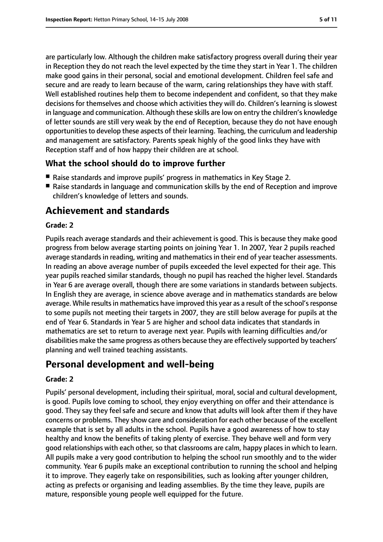are particularly low. Although the children make satisfactory progress overall during their year in Reception they do not reach the level expected by the time they start in Year 1. The children make good gains in their personal, social and emotional development. Children feel safe and secure and are ready to learn because of the warm, caring relationships they have with staff. Well established routines help them to become independent and confident, so that they make decisions for themselves and choose which activities they will do. Children's learning is slowest in language and communication. Although these skills are low on entry the children's knowledge of letter sounds are still very weak by the end of Reception, because they do not have enough opportunitiesto develop these aspects of their learning. Teaching, the curriculum and leadership and management are satisfactory. Parents speak highly of the good links they have with Reception staff and of how happy their children are at school.

### **What the school should do to improve further**

- Raise standards and improve pupils' progress in mathematics in Key Stage 2.
- Raise standards in language and communication skills by the end of Reception and improve children's knowledge of letters and sounds.

### **Achievement and standards**

#### **Grade: 2**

Pupils reach average standards and their achievement is good. This is because they make good progress from below average starting points on joining Year 1. In 2007, Year 2 pupils reached average standards in reading, writing and mathematics in their end of year teacher assessments. In reading an above average number of pupils exceeded the level expected for their age. This year pupils reached similar standards, though no pupil has reached the higher level. Standards in Year 6 are average overall, though there are some variations in standards between subjects. In English they are average, in science above average and in mathematics standards are below average. While results in mathematics have improved this year as a result of the school's response to some pupils not meeting their targets in 2007, they are still below average for pupils at the end of Year 6. Standards in Year 5 are higher and school data indicates that standards in mathematics are set to return to average next year. Pupils with learning difficulties and/or disabilities make the same progress as others because they are effectively supported by teachers' planning and well trained teaching assistants.

### **Personal development and well-being**

#### **Grade: 2**

Pupils' personal development, including their spiritual, moral, social and cultural development, is good. Pupils love coming to school, they enjoy everything on offer and their attendance is good. They say they feel safe and secure and know that adults will look after them if they have concerns or problems. They show care and consideration for each other because of the excellent example that is set by all adults in the school. Pupils have a good awareness of how to stay healthy and know the benefits of taking plenty of exercise. They behave well and form very good relationships with each other, so that classrooms are calm, happy places in which to learn. All pupils make a very good contribution to helping the school run smoothly and to the wider community. Year 6 pupils make an exceptional contribution to running the school and helping it to improve. They eagerly take on responsibilities, such as looking after younger children, acting as prefects or organising and leading assemblies. By the time they leave, pupils are mature, responsible young people well equipped for the future.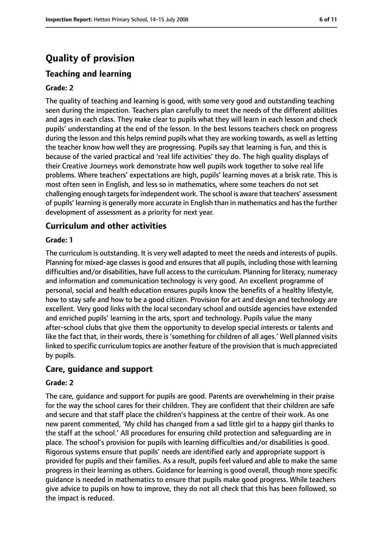## **Quality of provision**

### **Teaching and learning**

#### **Grade: 2**

The quality of teaching and learning is good, with some very good and outstanding teaching seen during the inspection. Teachers plan carefully to meet the needs of the different abilities and ages in each class. They make clear to pupils what they will learn in each lesson and check pupils' understanding at the end of the lesson. In the best lessons teachers check on progress during the lesson and this helps remind pupils what they are working towards, as well as letting the teacher know how well they are progressing. Pupils say that learning is fun, and this is because of the varied practical and 'real life activities' they do. The high quality displays of their Creative Journeys work demonstrate how well pupils work together to solve real life problems. Where teachers' expectations are high, pupils' learning moves at a brisk rate. This is most often seen in English, and less so in mathematics, where some teachers do not set challenging enough targets for independent work. The school is aware that teachers' assessment of pupils' learning is generally more accurate in English than in mathematics and has the further development of assessment as a priority for next year.

#### **Curriculum and other activities**

#### **Grade: 1**

The curriculum is outstanding. It is very well adapted to meet the needs and interests of pupils. Planning for mixed-age classes is good and ensures that all pupils, including those with learning difficulties and/or disabilities, have full access to the curriculum. Planning for literacy, numeracy and information and communication technology is very good. An excellent programme of personal, social and health education ensures pupils know the benefits of a healthy lifestyle, how to stay safe and how to be a good citizen. Provision for art and design and technology are excellent. Very good links with the local secondary school and outside agencies have extended and enriched pupils' learning in the arts, sport and technology. Pupils value the many after-school clubs that give them the opportunity to develop special interests or talents and like the fact that, in their words, there is 'something for children of all ages.' Well planned visits linked to specific curriculum topics are another feature of the provision that is much appreciated by pupils.

#### **Care, guidance and support**

#### **Grade: 2**

The care, guidance and support for pupils are good. Parents are overwhelming in their praise for the way the school cares for their children. They are confident that their children are safe and secure and that staff place the children's happiness at the centre of their work. As one new parent commented, 'My child has changed from a sad little girl to a happy girl thanks to the staff at the school.' All procedures for ensuring child protection and safeguarding are in place. The school's provision for pupils with learning difficulties and/or disabilities is good. Rigorous systems ensure that pupils' needs are identified early and appropriate support is provided for pupils and their families. As a result, pupils feel valued and able to make the same progress in their learning as others. Guidance for learning is good overall, though more specific guidance is needed in mathematics to ensure that pupils make good progress. While teachers give advice to pupils on how to improve, they do not all check that this has been followed, so the impact is reduced.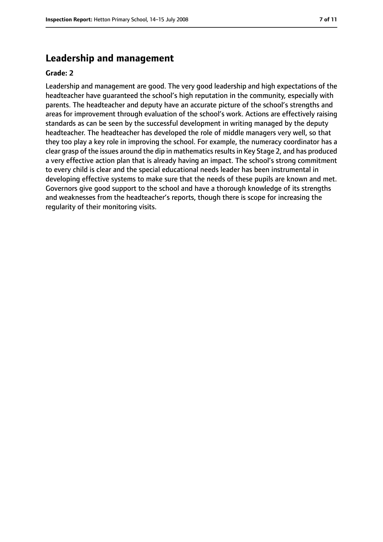### **Leadership and management**

#### **Grade: 2**

Leadership and management are good. The very good leadership and high expectations of the headteacher have guaranteed the school's high reputation in the community, especially with parents. The headteacher and deputy have an accurate picture of the school's strengths and areas for improvement through evaluation of the school's work. Actions are effectively raising standards as can be seen by the successful development in writing managed by the deputy headteacher. The headteacher has developed the role of middle managers very well, so that they too play a key role in improving the school. For example, the numeracy coordinator has a clear grasp of the issues around the dip in mathematics results in Key Stage 2, and has produced a very effective action plan that is already having an impact. The school's strong commitment to every child is clear and the special educational needs leader has been instrumental in developing effective systems to make sure that the needs of these pupils are known and met. Governors give good support to the school and have a thorough knowledge of its strengths and weaknesses from the headteacher's reports, though there is scope for increasing the regularity of their monitoring visits.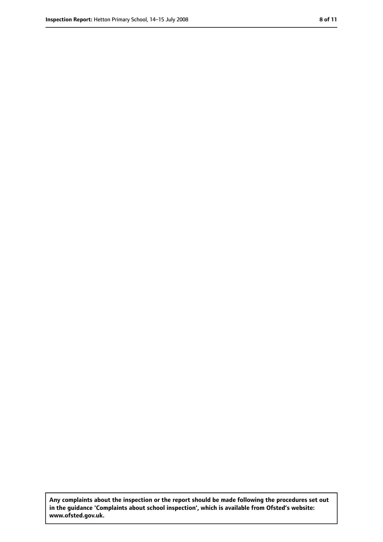**Any complaints about the inspection or the report should be made following the procedures set out in the guidance 'Complaints about school inspection', which is available from Ofsted's website: www.ofsted.gov.uk.**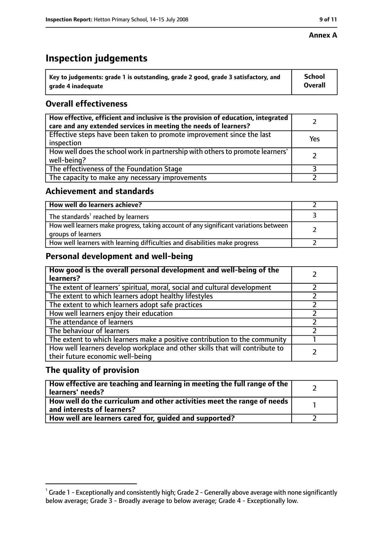#### **Annex A**

### **Inspection judgements**

| $^{\circ}$ Key to judgements: grade 1 is outstanding, grade 2 good, grade 3 satisfactory, and | <b>School</b>  |
|-----------------------------------------------------------------------------------------------|----------------|
| arade 4 inadequate                                                                            | <b>Overall</b> |

### **Overall effectiveness**

| How effective, efficient and inclusive is the provision of education, integrated<br>care and any extended services in meeting the needs of learners? |     |
|------------------------------------------------------------------------------------------------------------------------------------------------------|-----|
| Effective steps have been taken to promote improvement since the last<br>inspection                                                                  | Yes |
| How well does the school work in partnership with others to promote learners'<br>well-being?                                                         |     |
| The effectiveness of the Foundation Stage                                                                                                            |     |
| The capacity to make any necessary improvements                                                                                                      |     |

### **Achievement and standards**

| How well do learners achieve?                                                                               |  |
|-------------------------------------------------------------------------------------------------------------|--|
| The standards <sup>1</sup> reached by learners                                                              |  |
| How well learners make progress, taking account of any significant variations between<br>groups of learners |  |
| How well learners with learning difficulties and disabilities make progress                                 |  |

### **Personal development and well-being**

| How good is the overall personal development and well-being of the<br>learners?                                  |  |
|------------------------------------------------------------------------------------------------------------------|--|
| The extent of learners' spiritual, moral, social and cultural development                                        |  |
| The extent to which learners adopt healthy lifestyles                                                            |  |
| The extent to which learners adopt safe practices                                                                |  |
| How well learners enjoy their education                                                                          |  |
| The attendance of learners                                                                                       |  |
| The behaviour of learners                                                                                        |  |
| The extent to which learners make a positive contribution to the community                                       |  |
| How well learners develop workplace and other skills that will contribute to<br>their future economic well-being |  |

### **The quality of provision**

| How effective are teaching and learning in meeting the full range of the<br>learners' needs?                        |  |
|---------------------------------------------------------------------------------------------------------------------|--|
| $\mid$ How well do the curriculum and other activities meet the range of needs $\mid$<br>and interests of learners? |  |
| How well are learners cared for, quided and supported?                                                              |  |

 $^1$  Grade 1 - Exceptionally and consistently high; Grade 2 - Generally above average with none significantly below average; Grade 3 - Broadly average to below average; Grade 4 - Exceptionally low.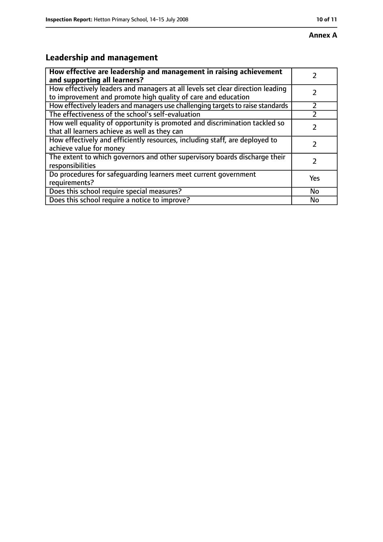### **Annex A**

## **Leadership and management**

| How effective are leadership and management in raising achievement<br>and supporting all learners?                                              |     |
|-------------------------------------------------------------------------------------------------------------------------------------------------|-----|
| How effectively leaders and managers at all levels set clear direction leading<br>to improvement and promote high quality of care and education |     |
| How effectively leaders and managers use challenging targets to raise standards                                                                 |     |
| The effectiveness of the school's self-evaluation                                                                                               |     |
| How well equality of opportunity is promoted and discrimination tackled so<br>that all learners achieve as well as they can                     |     |
| How effectively and efficiently resources, including staff, are deployed to<br>achieve value for money                                          | 7   |
| The extent to which governors and other supervisory boards discharge their<br>responsibilities                                                  | 7   |
| Do procedures for safequarding learners meet current government<br>requirements?                                                                | Yes |
| Does this school require special measures?                                                                                                      | No  |
| Does this school require a notice to improve?                                                                                                   | No  |